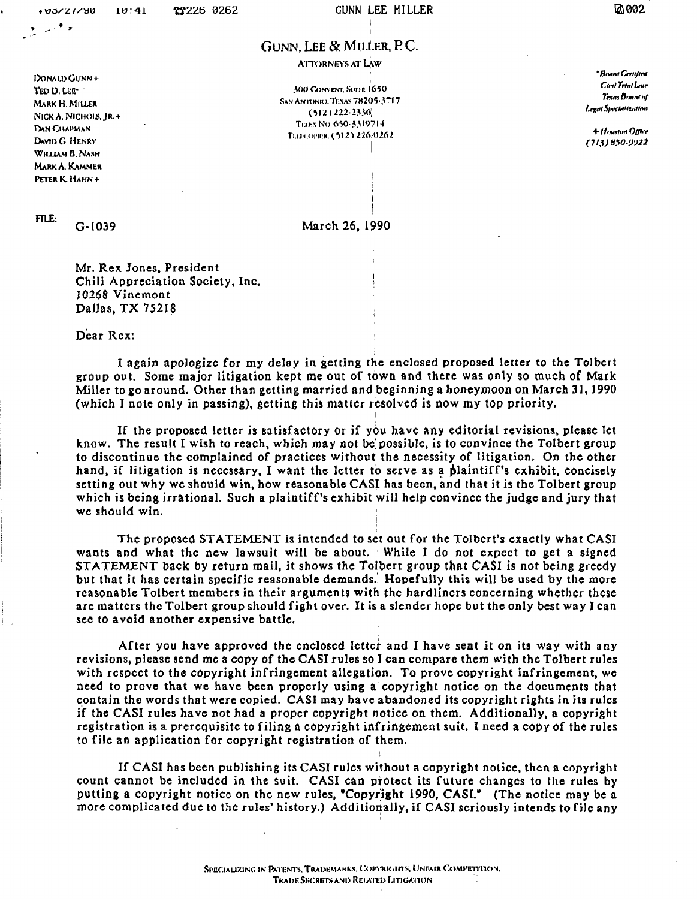## GUNN, LEE & MILLER, P.C.

**ATTORNEYS AT LAW** 

300 CONVENT, SUDE 1650 SAN ANTONIO, TEXAS 78205-3717  $(512)$  222-2336 TELEX NO. 650-3319714 ТЕПЛОЯЕК (512) 226-0262

• Room Certified Cast Trial Line Texas Board of Legal Specialization

4 Houston Office  $(713)850-9922$ 

TED D. LEE-MARK H. MILLER NICK A. NICHOLS, IR.+ DAN CHAPMAN DAVID G. HENRY WHITAM B. NASH **MARK A. KAMMER** PETER K. HAHN+

DONALD GUNN +

FILE:

 $G - 1039$ 

March 26, 1990

Mr. Rex Jones, President Chili Appreciation Society, Inc. 10268 Vinemont Dallas, TX 75218

Dear Rex:

I again apologize for my delay in getting the enclosed proposed letter to the Tolbert group out. Some major litigation kept me out of town and there was only so much of Mark Miller to go around. Other than getting married and beginning a honeymoon on March 31, 1990 (which I note only in passing), getting this matter resolved is now my top priority.

If the proposed letter is satisfactory or if you have any editorial revisions, please let know. The result I wish to reach, which may not be possible, is to convince the Tolbert group to discontinue the complained of practices without the necessity of litigation. On the other hand, if litigation is necessary, I want the letter to serve as a plaintiff's exhibit, concisely setting out why we should win, how reasonable CASI has been, and that it is the Tolbert group which is being irrational. Such a plaintiff's exhibit will help convince the judge and jury that we should win.

The proposed STATEMENT is intended to set out for the Tolbert's exactly what CASI wants and what the new lawsuit will be about. While I do not expect to get a signed STATEMENT back by return mail, it shows the Tolbert group that CASI is not being greedy but that it has certain specific reasonable demands. Hopefully this will be used by the more reasonable Tolbert members in their arguments with the hardliners concerning whether these are matters the Tolbert group should fight over. It is a slender hope but the only best way I can see to avoid another expensive battle.

After you have approved the enclosed letter and I have sent it on its way with any revisions, please send me a copy of the CASI rules so I can compare them with the Tolbert rules with respect to the copyright infringement allegation. To prove copyright infringement, we need to prove that we have been properly using a copyright notice on the documents that contain the words that were copied. CASI may have abandoned its copyright rights in its rules if the CASI rules have not had a proper copyright notice on them. Additionally, a copyright registration is a prerequisite to filing a copyright infringement suit. I need a copy of the rules to file an application for copyright registration of them.

If CASI has been publishing its CASI rules without a copyright notice, then a copyright count cannot be included in the suit. CASI can protect its future changes to the rules by putting a copyright notice on the new rules, "Copyright 1990, CASI." (The notice may be a more complicated due to the rules' history.) Additionally, if CASI seriously intends to file any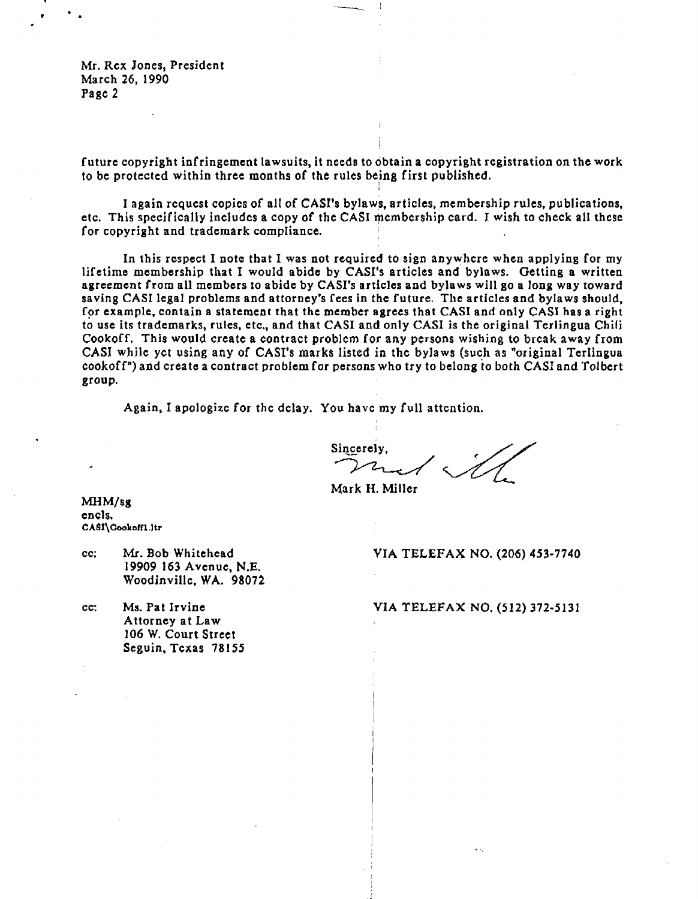Mr. Rex Jones, President March 26, 1990 Page 2

future copyright infringement lawsuits. it needs to obtain a copyright registration on the work to be protected within three months of the rules being first published.

I

.\_--~

I again request copies of al1 of CASl's bylaws. articles. membership rules, publications. etc. This specifically includes a copy of the CASI membership card. I wish to check all these for copyright and trademark compliance.

In this respect I note that I was not required to sign anywhere when applying for my lifetime membership that I would abide by CASI's articles and bylaws. Getting a written agreement from all members to abide by CASI's articles and bylaws will go a long way toward saving CASI legal problems and attorney's fees in the future. The articles and bylaws should, for example, contain a statement that the member agrees that CASI and only CASI has a right to use its trademarks, rules, etc., and that CASI and only CASI is the original Terlingua Chili Cookoff. This would create a contract problem for any persons wishing to break away from CASI while yet using any of CAS!'s marks listed in the bylaws (such as "original Terlingua eookoff") and create a contract problem for persons who try to belong to both CASI and Tolbert group.

Again. I apologize for the delay. You have my full attention.

Sincerely, ou have my full attention.

Mark H. Miller

MHM/sg encls. CASI\Cookoff1.ltr

- 19909 163 Aven uc. N.E. Woodinville, WA. 98072
- Attorney at Law 106 W. Court Street Seguin, Texas 78155

cc; Mr. Bob Whitehead VIA TELEFAX NO. (206) 453-7740

cc: Ms. Pat Irvine VIA TELEFAX NO. (512) 372-5131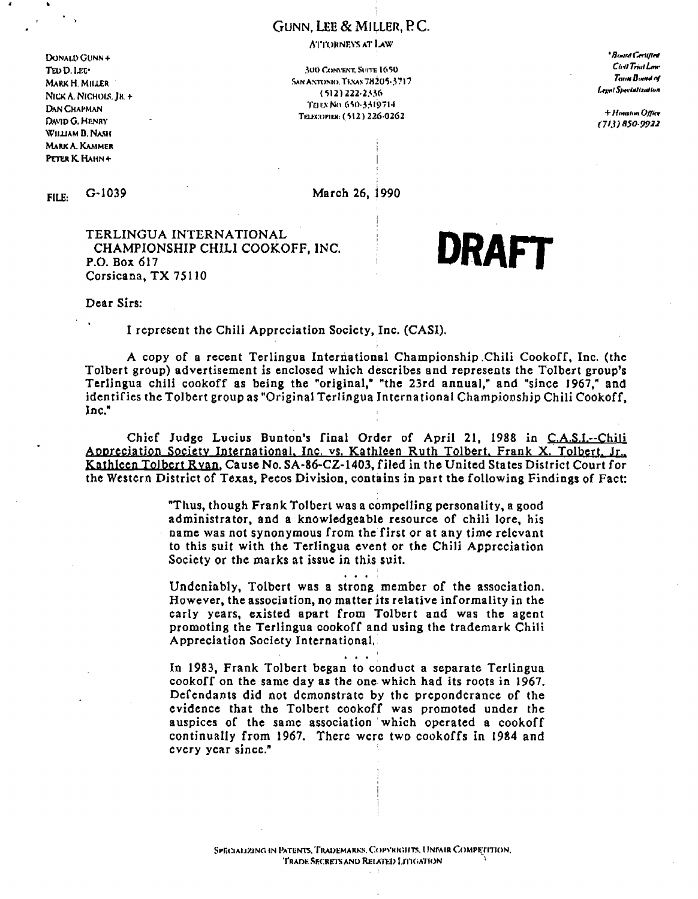## GUNN. LEE & MILLER, P.C.

**ATTORNEYS AT LAW** 

DONALD GUNN + TEO D. LEE-MARK H. MILLER NICK A. NICHOLS, JR. + **DAN CHAPMAN** DAVID G. HENRY WILLIAM B. NASH **MARK A. KAMMER** PETER K. HAHN+

300 CONVENT, SUITE 1650 **SAN ANTONIO, TEXAS 78205-3717**  $(512)$  222-2336 THEN NO 650-3319714 Телесовек: (512) 226-0262

\* Board Cervilled Chill Trial Law Texas Bonne of Legal Specialization

+ Himation Office  $(713)850.9922$ 

 $G-1039$ FILE:

March 26, 1990

TERLINGUA INTERNATIONAL CHAMPIONSHIP CHILI COOKOFF, INC. P.O. Box 617 Corsicana, TX 75110

**DRAFT** 

Dear Sirs:

I represent the Chili Appreciation Society, Inc. (CASI).

A copy of a recent Terlingua International Championship Chili Cookoff, Inc. (the Tolbert group) advertisement is enclosed which describes and represents the Tolbert group's Terlingua chili cookoff as being the "original," "the 23rd annual," and "since 1967," and identifies the Tolbert group as "Original Terlingua International Championship Chili Cookoff, Inc."

Chief Judge Lucius Bunton's final Order of April 21, 1988 in C.A.S.I.--Chili Appreciation Society International, Inc. vs. Kathleen Ruth Tolbert, Frank X. Tolbert, Jr., Kathleen Tolbert Ryan, Cause No. SA-86-CZ-1403, filed in the United States District Court for the Western District of Texas, Pecos Division, contains in part the following Findings of Fact:

> "Thus, though Frank Tolbert was a compelling personality, a good administrator, and a knowledgeable resource of chili lore, his name was not synonymous from the first or at any time relevant to this suit with the Terlingua event or the Chili Appreciation Society or the marks at issue in this suit.

> Undeniably, Tolbert was a strong member of the association. However, the association, no matter its relative informality in the carly years, existed apart from Tolbert and was the agent promoting the Terlingua cookoff and using the trademark Chili Appreciation Society International.

> > $\mathbf{r}$  . The set of  $\mathbf{r}$

In 1983, Frank Tolbert began to conduct a separate Terlingua cookoff on the same day as the one which had its roots in 1967. Defendants did not demonstrate by the preponderance of the evidence that the Tolbert cookoff was promoted under the auspices of the same association which operated a cookoff continually from 1967. There were two cookoffs in 1984 and cvery year since."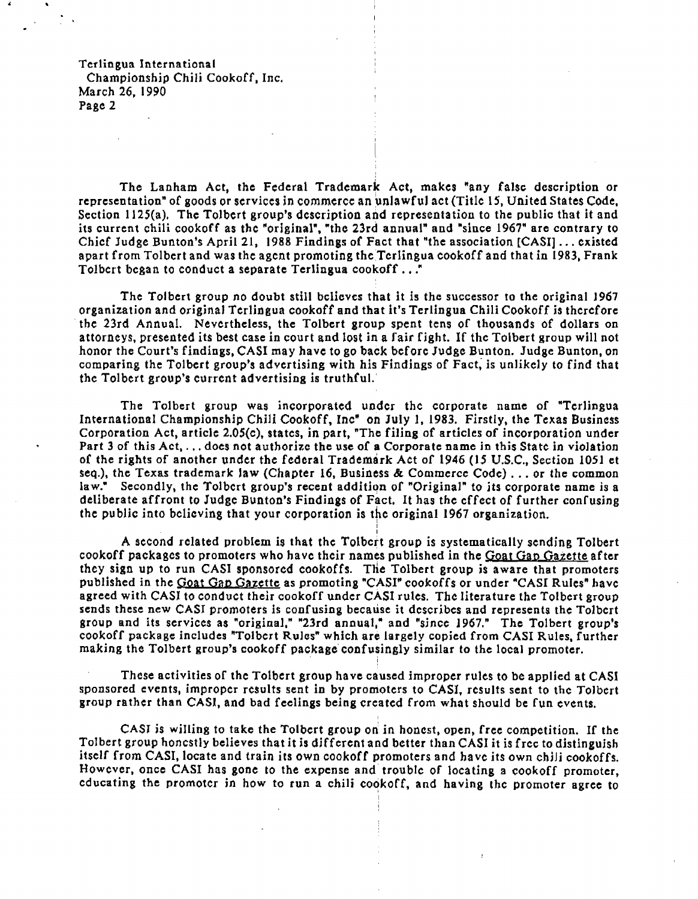Terlingua International Championship Chili Cookoff, Inc. March 26, 1990 Page 2

The Lanham Act, the Federal Trademark Act, makes "any false description or representation" of goods or services in commerce an unlawful act (Title 15, United States Code, Section 1125(a). The Tolbert group's description and representation to the public that it and its current chili cookoff as the "original", "the 23rd annual" and "since 1967" are contrary to Chief Judge Bunton's April 21, 1988 Findings of Fact that "the association [CASI] ... existed apart from Tolbert and was the agent promoting the Terlingua cookoff and that in 1983, Frank Tolbert began to conduct a separate Terlingua cookoff..."

i

The Tolbert group no doubt still believes that it is the successor to the original J967 organization and original Terlingua cookoff and that it's Terlingua Chili Cookoff is therefore . the 23rd Annual. Nevertheless, the Tolbert group spent tens of thousands of dollars on attorneys, presented its best case in court and lost in a fair fight. If the Tolbert group will not honor the Court's findings, CASI may have to go back before Judge Bunton. Judge Bunton, on comparing the Tolbert group's advertising with his Findings of Fact; is unlikely to find that the Tolbert group's current advertising is truthful.'

The Tolbert group was incorporated under the corporate name of "Terlingua International Championship Chili Cookoff. Inc" on July I, 1983. Firstly, the Texas Business Corporation Act. article 2.05(c), states, in part, "The filing of articles of incorporation under Part 3 of this Act, ... does not authorize the use of a Corporate name in this State in viOlation of the rights of another under the federal Trademark Act of 1946 (15 U.S.C., Section 1051 et seq.), the Texas trademark law (Chapter 16, Business & Commerce Code) ... or the common law." Secondly, the Tolbert group's recent addition of "Original" to its corporate name is a deliberate affront to Judge Bunton's Findings of Fact. It has the effect of further confusing the public into believing that your corporation is the original 1967 organization. <sup>I</sup>

I A second related problem is that the Tolbert group is systematically sending Tolbert cookoff packages to promoters who have their names published in the Goat Gap Gazette after they sign up to run CASI sponsored cookoffs. THe Tolbert group is aware that promoters published in the Goat Gap Gazette as promoting "CASI" cookoffs or under "CASI Rules" have agreed with CASI to conduct their cookoff under CASI rules. The literature the Tolbert group sends these new CASJ promoters is confusing because it describes and represents the Tolbert group and its services as "original," "23rd annual," and "since 1967." The Tolbert group's eookoft package includes "Tolbert Rules" which are largely copied from CASI Rules, further making the Tolbert group's cookoff package confusingly similar to the local promoter.

I

These activities of the Tolbert group have caused improper rules to be applied at CASt sponsored events, improper results sent in by promoters to CAS], results sent to the Tolbert group rather than CASI, and bad feelings being created from what should be fun events.

CASJ *is* willing to take the Tolbert group ort in honest, open. free competition. If the Tolbert group honestly believes that it is different and better than CASI it is free to distinguish itself from CASI, locate and train its own cookoff promoters and have its Own chili cookoffs. However, once CASI has gone to the expense and trouble of locating a cookoff promoter, educating the promoter in how to run a chili cookoff, and having the promoter agree to

I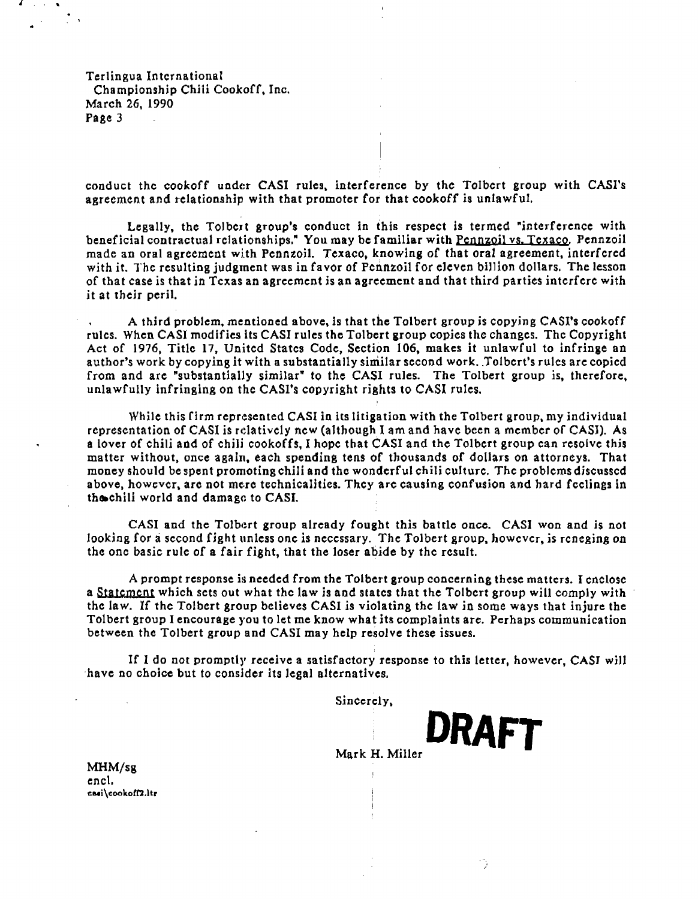Terlingua International Championship Chili Cookoff, Inc. March 26, 1990 Page 3

i

conduct the cookoff under CASI rules. interference by the Tolbert group with CASl's agreement and relationship with that promoter for that cookoff is unlawful,

Legally. the Tolbert group's conduct in this respect is termed "interference with beneficial contractual relationships." You may be familiar with Pennzoil vs. Texaco. Pennzoil made an oral agreement with Pennzoil. Texaco, knowing of that oral agreement, interfered with it. The resulting judgment was in favor of Pennzoil for eleven billion dollars. The lesson of that case is that in Texas an agreement is an agreement and that third parties interfere with it at their peril.

A third problem, mentioned above, is that the Tolbert group is copying CASI's cookoff rules. When CASl modifies its CASI rules the Tolbert group copies thc changes. The Copyright Act of 1976, Title 17, United States Code, Section 106, makes it unlawful to infringe an author's work by copying it with a substantially similar second work. Tolbert's rules are copied from and are "substantially similar" to the CASI rules. The Tolbert group is, therefore, unlawfully infringing on the CASl's copyright rights to CASI rules.

While this firm represented CASI in its litigation with the Tolbert group, my individual representation of CASI is relatively new (although I am and have been a member of CASI). As a lover of chili and of chili cookoffs, I hope that CASI and the Tolbert group can resolve this matter without, once again, each spending tens of thousands of dollars on attorneys. That money should be spent promoting chili and the wonderful chili culture. The problems discusscd above, however, are not mere technicalities. They are causing confusion and hard feelings in the-chili world and damage to CASI.

CASI and the Tolbert group already fought this battle once. CASI won and is not looking for a second fight unless one is necessary. The Tolbert group, however, is reneging on the one basic rule of a fair fight, that the loser abide by the result.

A prompt response is needed from the Tolbert group concerning these matters. I enclose a Statement which sets out what the law is and states that the Tolbert group will comply with the law. If the Tolbert group believes CASI is violating the law in some ways that injure the Tolbert group I encourage you to let me know what its complaints are. Perhaps communication between the Tolbert group and CASI may help resolve these issues.

If I do not promptly receive a satisfactory response to this letter, however, CASI will have no choice but to consider its legal alternatives.

Sincerely,

Mark H. Miller

· **DRAFT** 

MHM/sg encl. casi\cookoff2.ltr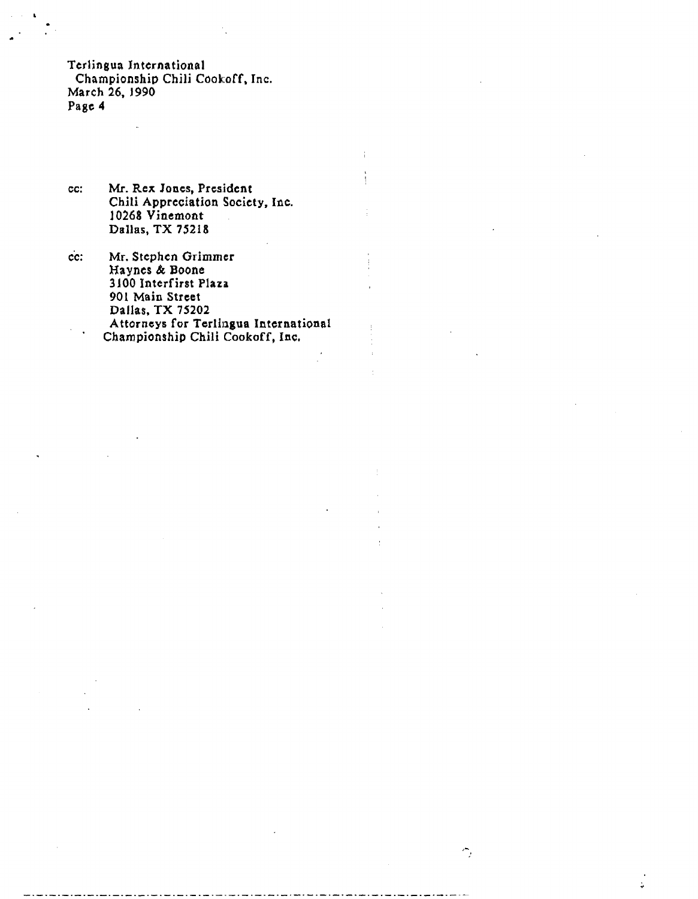Terlingua International Championship Chili Cookoff. Inc. March 26, J990 Page 4

- cc: Mr. Rex Jones, President Chili Appreciation Society, Inc. J0268 Vinemont Dallas, TX 75218
- cc: Mr. Stephen Grimmer Haynes & Boone 3JOO Intcrfirst Plaza 901 Main Street Dallas, TX 75202 Attorneys for Terlingua International Championship Chili Cookoff, Inc.

÷

 $\hat{\mathbb{Z}}_t$